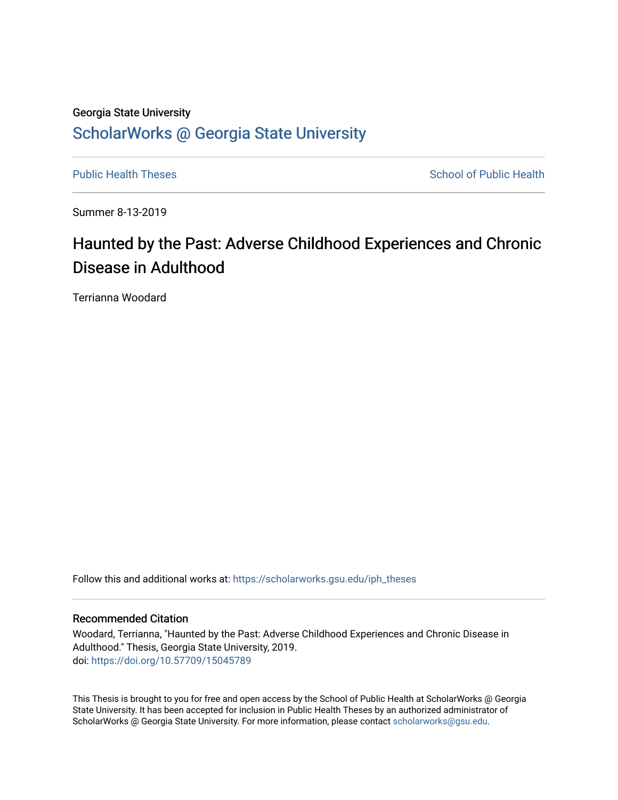# Georgia State University [ScholarWorks @ Georgia State University](https://scholarworks.gsu.edu/)

[Public Health Theses](https://scholarworks.gsu.edu/iph_theses) **School of Public Health** Public Health

Summer 8-13-2019

# Haunted by the Past: Adverse Childhood Experiences and Chronic Disease in Adulthood

Terrianna Woodard

Follow this and additional works at: [https://scholarworks.gsu.edu/iph\\_theses](https://scholarworks.gsu.edu/iph_theses?utm_source=scholarworks.gsu.edu%2Fiph_theses%2F665&utm_medium=PDF&utm_campaign=PDFCoverPages) 

### Recommended Citation

Woodard, Terrianna, "Haunted by the Past: Adverse Childhood Experiences and Chronic Disease in Adulthood." Thesis, Georgia State University, 2019. doi: <https://doi.org/10.57709/15045789>

This Thesis is brought to you for free and open access by the School of Public Health at ScholarWorks @ Georgia State University. It has been accepted for inclusion in Public Health Theses by an authorized administrator of ScholarWorks @ Georgia State University. For more information, please contact [scholarworks@gsu.edu](mailto:scholarworks@gsu.edu).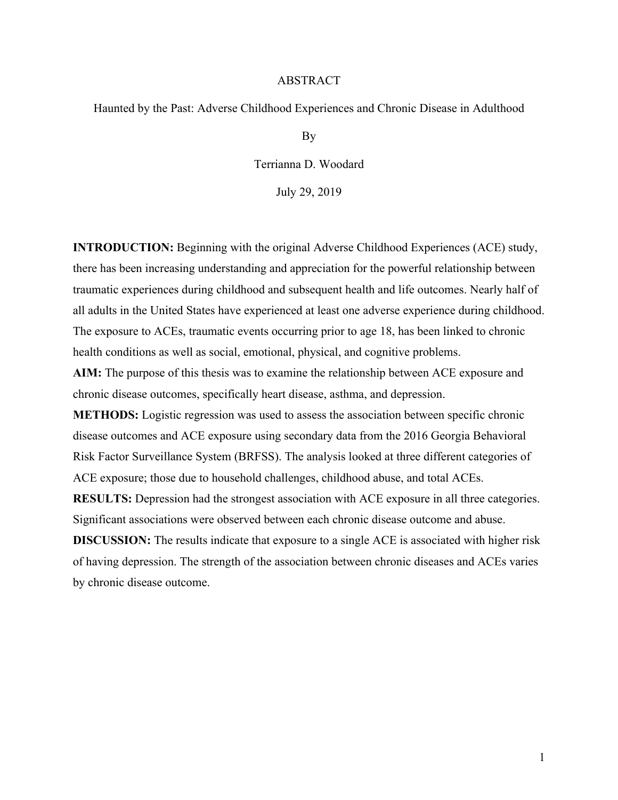# ABSTRACT

Haunted by the Past: Adverse Childhood Experiences and Chronic Disease in Adulthood

By

Terrianna D. Woodard

July 29, 2019

**INTRODUCTION:** Beginning with the original Adverse Childhood Experiences (ACE) study, there has been increasing understanding and appreciation for the powerful relationship between traumatic experiences during childhood and subsequent health and life outcomes. Nearly half of all adults in the United States have experienced at least one adverse experience during childhood. The exposure to ACEs, traumatic events occurring prior to age 18, has been linked to chronic health conditions as well as social, emotional, physical, and cognitive problems.

**AIM:** The purpose of this thesis was to examine the relationship between ACE exposure and chronic disease outcomes, specifically heart disease, asthma, and depression.

**METHODS:** Logistic regression was used to assess the association between specific chronic disease outcomes and ACE exposure using secondary data from the 2016 Georgia Behavioral Risk Factor Surveillance System (BRFSS). The analysis looked at three different categories of ACE exposure; those due to household challenges, childhood abuse, and total ACEs.

**RESULTS:** Depression had the strongest association with ACE exposure in all three categories. Significant associations were observed between each chronic disease outcome and abuse.

**DISCUSSION:** The results indicate that exposure to a single ACE is associated with higher risk of having depression. The strength of the association between chronic diseases and ACEs varies by chronic disease outcome.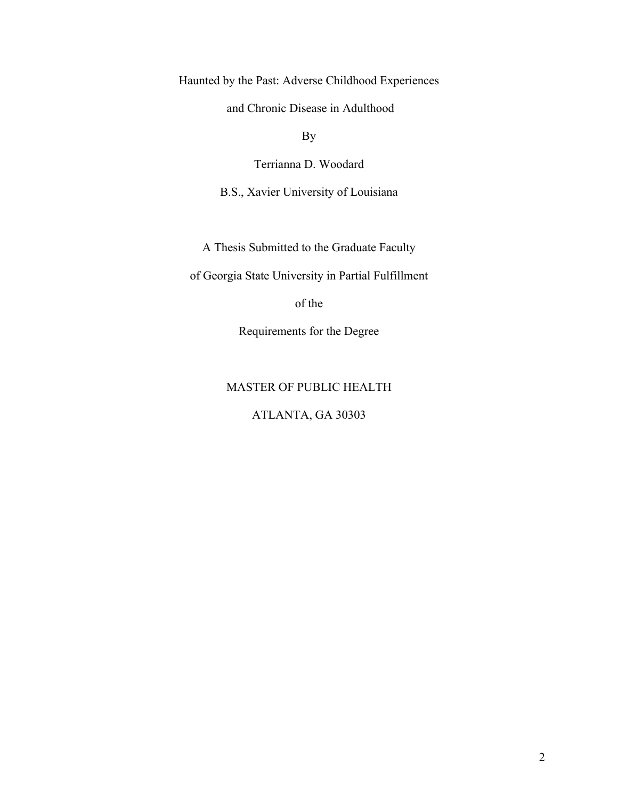Haunted by the Past: Adverse Childhood Experiences

and Chronic Disease in Adulthood

By

Terrianna D. Woodard

B.S., Xavier University of Louisiana

A Thesis Submitted to the Graduate Faculty

of Georgia State University in Partial Fulfillment

of the

Requirements for the Degree

# MASTER OF PUBLIC HEALTH

# ATLANTA, GA 30303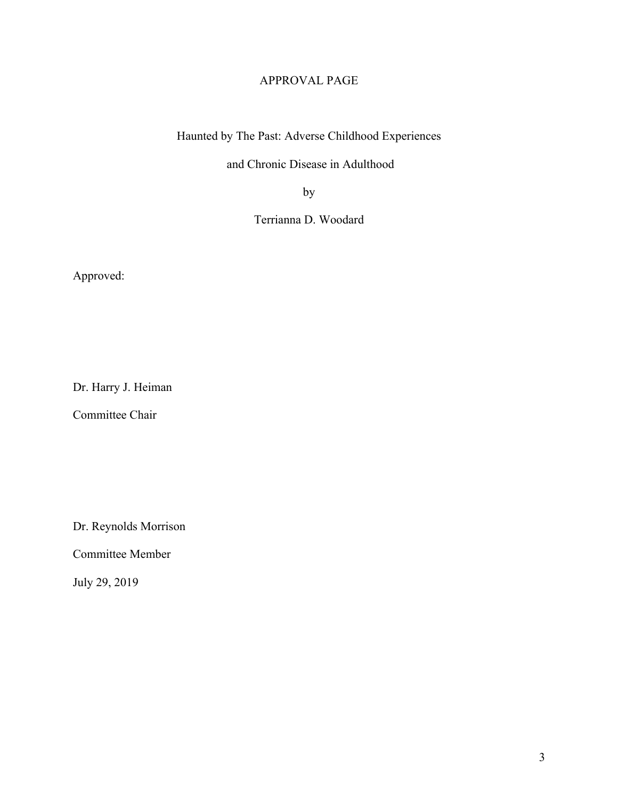# APPROVAL PAGE

Haunted by The Past: Adverse Childhood Experiences

and Chronic Disease in Adulthood

by

Terrianna D. Woodard

Approved:

Dr. Harry J. Heiman

Committee Chair

Dr. Reynolds Morrison

Committee Member

July 29, 2019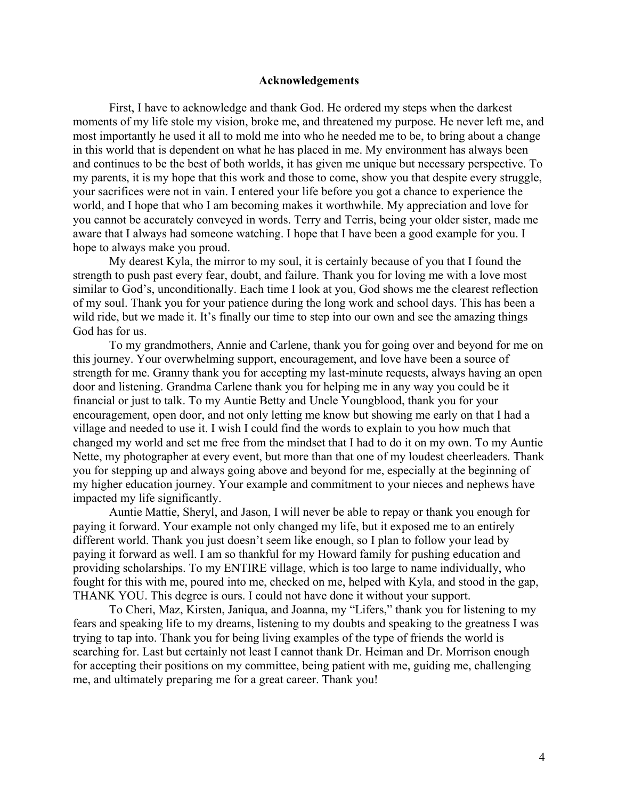#### **Acknowledgements**

First, I have to acknowledge and thank God. He ordered my steps when the darkest moments of my life stole my vision, broke me, and threatened my purpose. He never left me, and most importantly he used it all to mold me into who he needed me to be, to bring about a change in this world that is dependent on what he has placed in me. My environment has always been and continues to be the best of both worlds, it has given me unique but necessary perspective. To my parents, it is my hope that this work and those to come, show you that despite every struggle, your sacrifices were not in vain. I entered your life before you got a chance to experience the world, and I hope that who I am becoming makes it worthwhile. My appreciation and love for you cannot be accurately conveyed in words. Terry and Terris, being your older sister, made me aware that I always had someone watching. I hope that I have been a good example for you. I hope to always make you proud.

My dearest Kyla, the mirror to my soul, it is certainly because of you that I found the strength to push past every fear, doubt, and failure. Thank you for loving me with a love most similar to God's, unconditionally. Each time I look at you, God shows me the clearest reflection of my soul. Thank you for your patience during the long work and school days. This has been a wild ride, but we made it. It's finally our time to step into our own and see the amazing things God has for us.

To my grandmothers, Annie and Carlene, thank you for going over and beyond for me on this journey. Your overwhelming support, encouragement, and love have been a source of strength for me. Granny thank you for accepting my last-minute requests, always having an open door and listening. Grandma Carlene thank you for helping me in any way you could be it financial or just to talk. To my Auntie Betty and Uncle Youngblood, thank you for your encouragement, open door, and not only letting me know but showing me early on that I had a village and needed to use it. I wish I could find the words to explain to you how much that changed my world and set me free from the mindset that I had to do it on my own. To my Auntie Nette, my photographer at every event, but more than that one of my loudest cheerleaders. Thank you for stepping up and always going above and beyond for me, especially at the beginning of my higher education journey. Your example and commitment to your nieces and nephews have impacted my life significantly.

Auntie Mattie, Sheryl, and Jason, I will never be able to repay or thank you enough for paying it forward. Your example not only changed my life, but it exposed me to an entirely different world. Thank you just doesn't seem like enough, so I plan to follow your lead by paying it forward as well. I am so thankful for my Howard family for pushing education and providing scholarships. To my ENTIRE village, which is too large to name individually, who fought for this with me, poured into me, checked on me, helped with Kyla, and stood in the gap, THANK YOU. This degree is ours. I could not have done it without your support.

To Cheri, Maz, Kirsten, Janiqua, and Joanna, my "Lifers," thank you for listening to my fears and speaking life to my dreams, listening to my doubts and speaking to the greatness I was trying to tap into. Thank you for being living examples of the type of friends the world is searching for. Last but certainly not least I cannot thank Dr. Heiman and Dr. Morrison enough for accepting their positions on my committee, being patient with me, guiding me, challenging me, and ultimately preparing me for a great career. Thank you!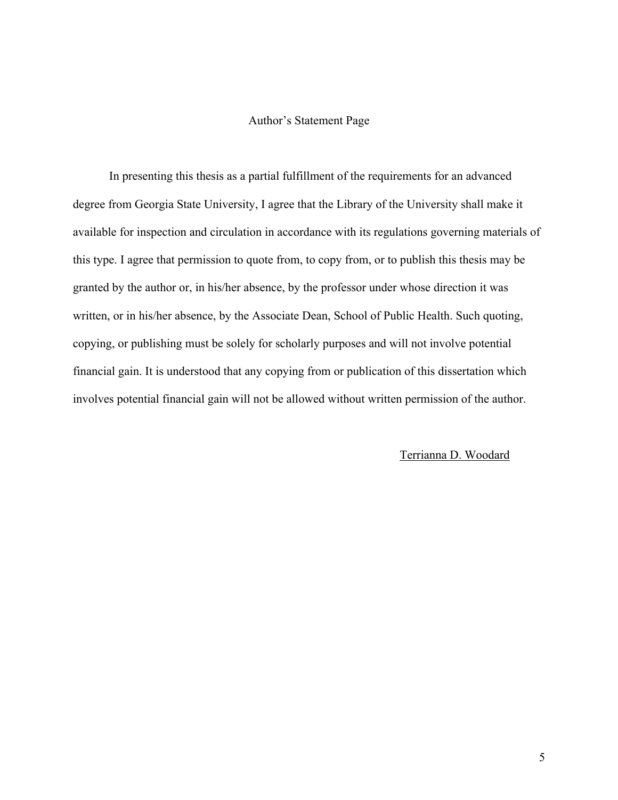# Author's Statement Page

In presenting this thesis as a partial fulfillment of the requirements for an advanced degree from Georgia State University, I agree that the Library of the University shall make it available for inspection and circulation in accordance with its regulations governing materials of this type. I agree that permission to quote from, to copy from, or to publish this thesis may be granted by the author or, in his/her absence, by the professor under whose direction it was written, or in his/her absence, by the Associate Dean, School of Public Health. Such quoting, copying, or publishing must be solely for scholarly purposes and will not involve potential financial gain. It is understood that any copying from or publication of this dissertation which involves potential financial gain will not be allowed without written permission of the author.

#### Terrianna D. Woodard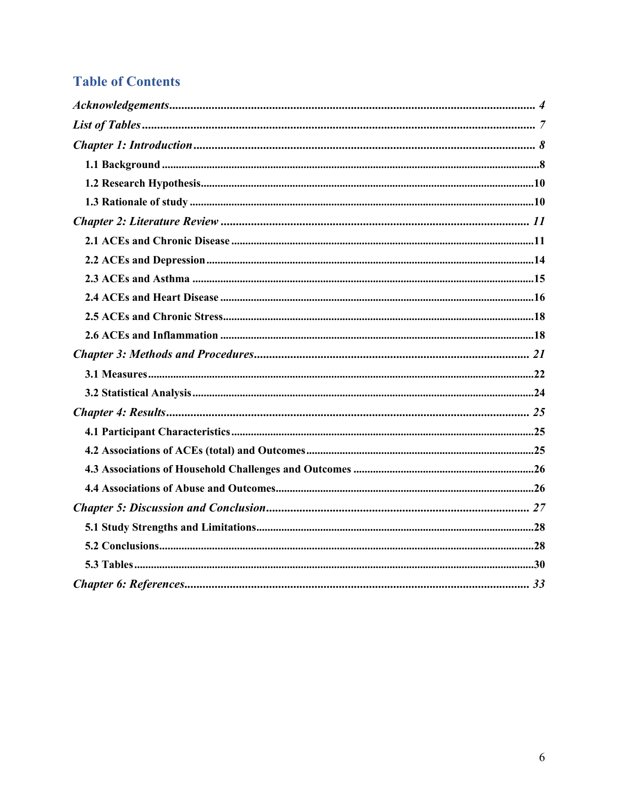# **Table of Contents**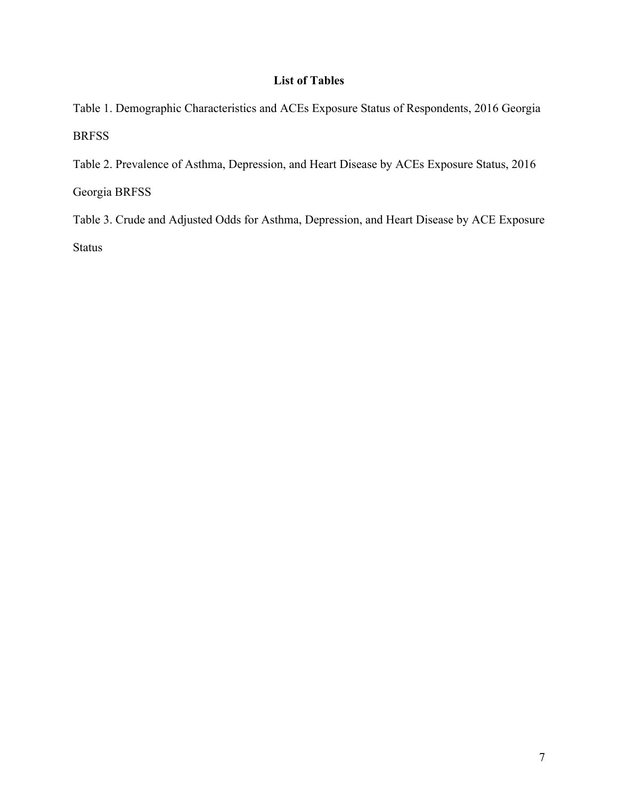# **List of Tables**

Table 1. Demographic Characteristics and ACEs Exposure Status of Respondents, 2016 Georgia BRFSS

Table 2. Prevalence of Asthma, Depression, and Heart Disease by ACEs Exposure Status, 2016 Georgia BRFSS

Table 3. Crude and Adjusted Odds for Asthma, Depression, and Heart Disease by ACE Exposure Status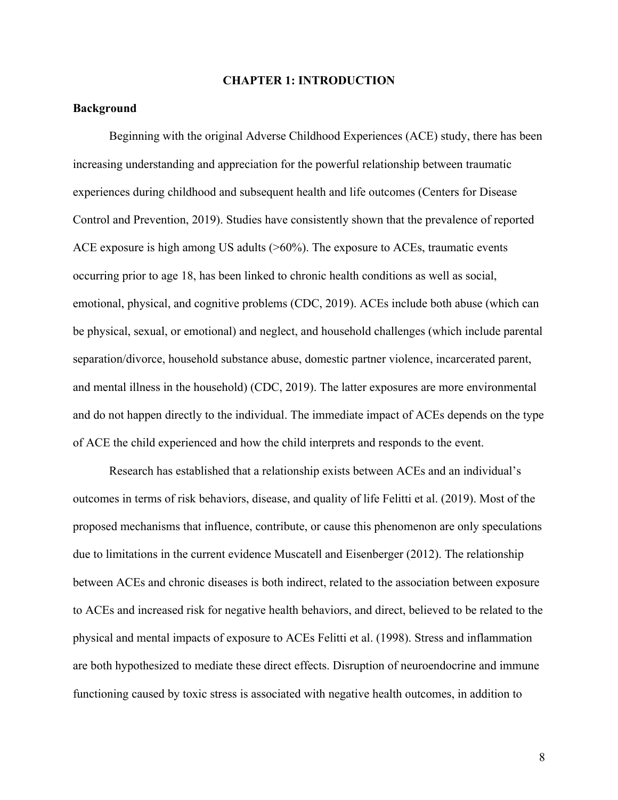### **CHAPTER 1: INTRODUCTION**

# **Background**

Beginning with the original Adverse Childhood Experiences (ACE) study, there has been increasing understanding and appreciation for the powerful relationship between traumatic experiences during childhood and subsequent health and life outcomes (Centers for Disease Control and Prevention, 2019). Studies have consistently shown that the prevalence of reported ACE exposure is high among US adults (>60%). The exposure to ACEs, traumatic events occurring prior to age 18, has been linked to chronic health conditions as well as social, emotional, physical, and cognitive problems (CDC, 2019). ACEs include both abuse (which can be physical, sexual, or emotional) and neglect, and household challenges (which include parental separation/divorce, household substance abuse, domestic partner violence, incarcerated parent, and mental illness in the household) (CDC, 2019). The latter exposures are more environmental and do not happen directly to the individual. The immediate impact of ACEs depends on the type of ACE the child experienced and how the child interprets and responds to the event.

Research has established that a relationship exists between ACEs and an individual's outcomes in terms of risk behaviors, disease, and quality of life Felitti et al. (2019). Most of the proposed mechanisms that influence, contribute, or cause this phenomenon are only speculations due to limitations in the current evidence Muscatell and Eisenberger (2012). The relationship between ACEs and chronic diseases is both indirect, related to the association between exposure to ACEs and increased risk for negative health behaviors, and direct, believed to be related to the physical and mental impacts of exposure to ACEs Felitti et al. (1998). Stress and inflammation are both hypothesized to mediate these direct effects. Disruption of neuroendocrine and immune functioning caused by toxic stress is associated with negative health outcomes, in addition to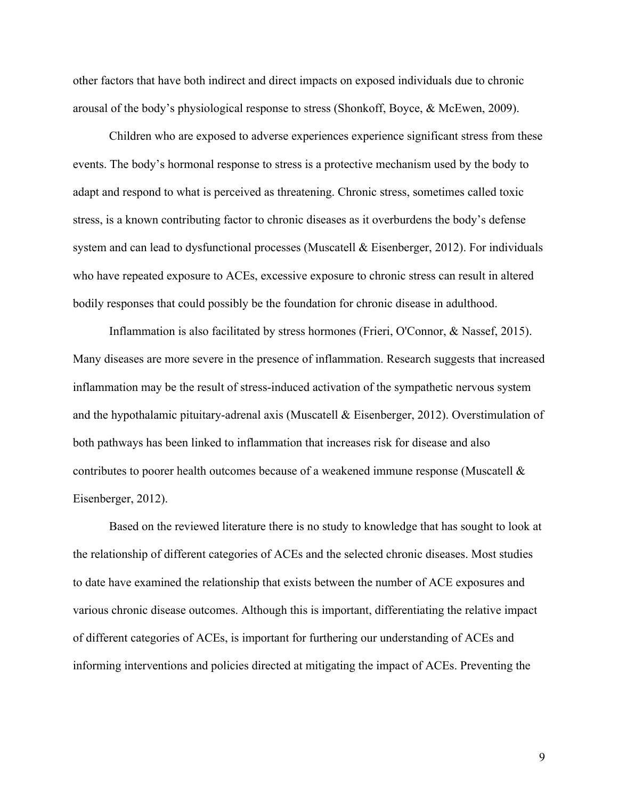other factors that have both indirect and direct impacts on exposed individuals due to chronic arousal of the body's physiological response to stress (Shonkoff, Boyce, & McEwen, 2009).

Children who are exposed to adverse experiences experience significant stress from these events. The body's hormonal response to stress is a protective mechanism used by the body to adapt and respond to what is perceived as threatening. Chronic stress, sometimes called toxic stress, is a known contributing factor to chronic diseases as it overburdens the body's defense system and can lead to dysfunctional processes (Muscatell  $\&$  Eisenberger, 2012). For individuals who have repeated exposure to ACEs, excessive exposure to chronic stress can result in altered bodily responses that could possibly be the foundation for chronic disease in adulthood.

Inflammation is also facilitated by stress hormones (Frieri, O'Connor, & Nassef, 2015). Many diseases are more severe in the presence of inflammation. Research suggests that increased inflammation may be the result of stress-induced activation of the sympathetic nervous system and the hypothalamic pituitary-adrenal axis (Muscatell & Eisenberger, 2012). Overstimulation of both pathways has been linked to inflammation that increases risk for disease and also contributes to poorer health outcomes because of a weakened immune response (Muscatell & Eisenberger, 2012).

Based on the reviewed literature there is no study to knowledge that has sought to look at the relationship of different categories of ACEs and the selected chronic diseases. Most studies to date have examined the relationship that exists between the number of ACE exposures and various chronic disease outcomes. Although this is important, differentiating the relative impact of different categories of ACEs, is important for furthering our understanding of ACEs and informing interventions and policies directed at mitigating the impact of ACEs. Preventing the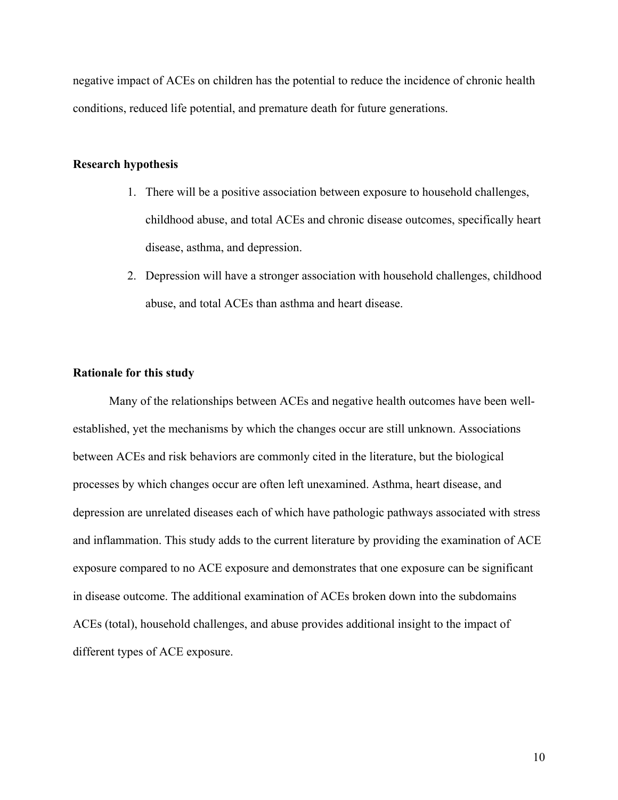negative impact of ACEs on children has the potential to reduce the incidence of chronic health conditions, reduced life potential, and premature death for future generations.

# **Research hypothesis**

- 1. There will be a positive association between exposure to household challenges, childhood abuse, and total ACEs and chronic disease outcomes, specifically heart disease, asthma, and depression.
- 2. Depression will have a stronger association with household challenges, childhood abuse, and total ACEs than asthma and heart disease.

# **Rationale for this study**

Many of the relationships between ACEs and negative health outcomes have been wellestablished, yet the mechanisms by which the changes occur are still unknown. Associations between ACEs and risk behaviors are commonly cited in the literature, but the biological processes by which changes occur are often left unexamined. Asthma, heart disease, and depression are unrelated diseases each of which have pathologic pathways associated with stress and inflammation. This study adds to the current literature by providing the examination of ACE exposure compared to no ACE exposure and demonstrates that one exposure can be significant in disease outcome. The additional examination of ACEs broken down into the subdomains ACEs (total), household challenges, and abuse provides additional insight to the impact of different types of ACE exposure.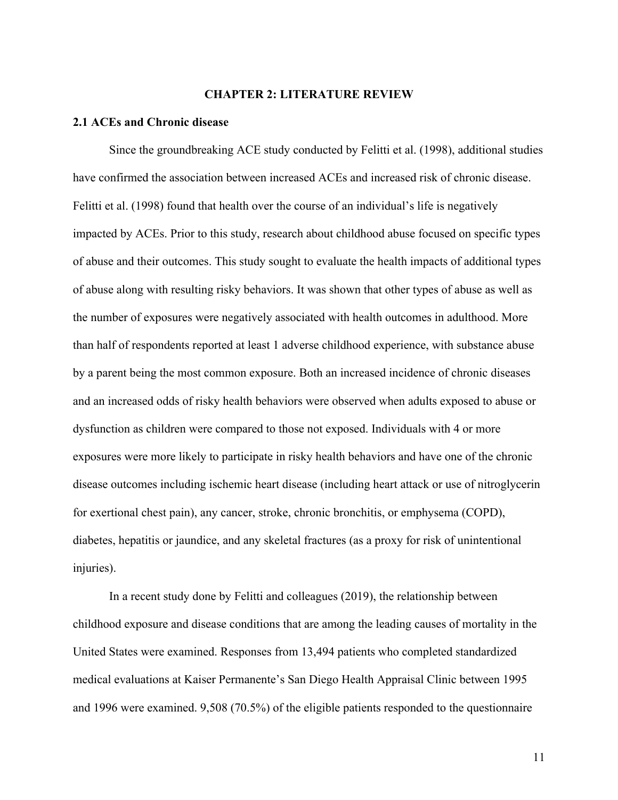# **CHAPTER 2: LITERATURE REVIEW**

#### **2.1 ACEs and Chronic disease**

Since the groundbreaking ACE study conducted by Felitti et al. (1998), additional studies have confirmed the association between increased ACEs and increased risk of chronic disease. Felitti et al. (1998) found that health over the course of an individual's life is negatively impacted by ACEs. Prior to this study, research about childhood abuse focused on specific types of abuse and their outcomes. This study sought to evaluate the health impacts of additional types of abuse along with resulting risky behaviors. It was shown that other types of abuse as well as the number of exposures were negatively associated with health outcomes in adulthood. More than half of respondents reported at least 1 adverse childhood experience, with substance abuse by a parent being the most common exposure. Both an increased incidence of chronic diseases and an increased odds of risky health behaviors were observed when adults exposed to abuse or dysfunction as children were compared to those not exposed. Individuals with 4 or more exposures were more likely to participate in risky health behaviors and have one of the chronic disease outcomes including ischemic heart disease (including heart attack or use of nitroglycerin for exertional chest pain), any cancer, stroke, chronic bronchitis, or emphysema (COPD), diabetes, hepatitis or jaundice, and any skeletal fractures (as a proxy for risk of unintentional injuries).

In a recent study done by Felitti and colleagues (2019), the relationship between childhood exposure and disease conditions that are among the leading causes of mortality in the United States were examined. Responses from 13,494 patients who completed standardized medical evaluations at Kaiser Permanente's San Diego Health Appraisal Clinic between 1995 and 1996 were examined. 9,508 (70.5%) of the eligible patients responded to the questionnaire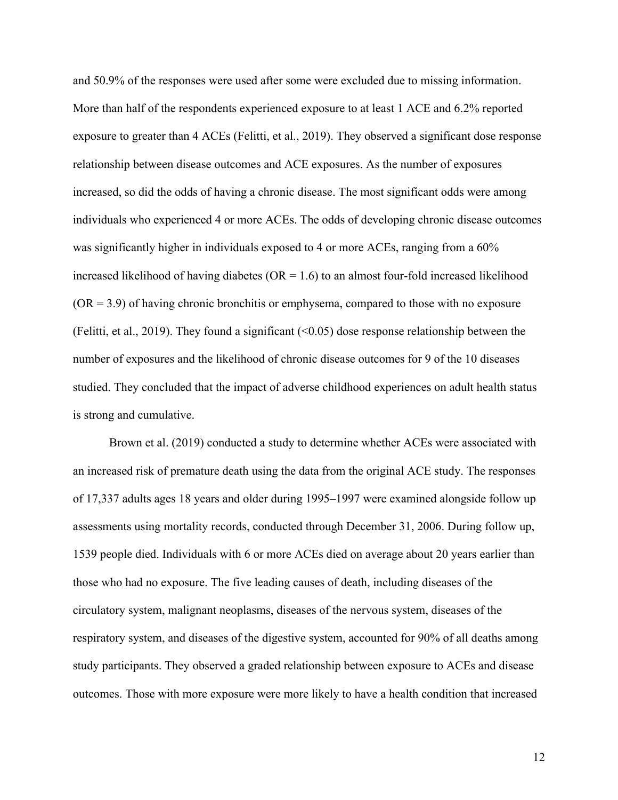and 50.9% of the responses were used after some were excluded due to missing information. More than half of the respondents experienced exposure to at least 1 ACE and 6.2% reported exposure to greater than 4 ACEs (Felitti, et al., 2019). They observed a significant dose response relationship between disease outcomes and ACE exposures. As the number of exposures increased, so did the odds of having a chronic disease. The most significant odds were among individuals who experienced 4 or more ACEs. The odds of developing chronic disease outcomes was significantly higher in individuals exposed to 4 or more ACEs, ranging from a 60% increased likelihood of having diabetes ( $OR = 1.6$ ) to an almost four-fold increased likelihood  $(OR = 3.9)$  of having chronic bronchitis or emphysema, compared to those with no exposure (Felitti, et al., 2019). They found a significant  $(\leq 0.05)$  dose response relationship between the number of exposures and the likelihood of chronic disease outcomes for 9 of the 10 diseases studied. They concluded that the impact of adverse childhood experiences on adult health status is strong and cumulative.

Brown et al. (2019) conducted a study to determine whether ACEs were associated with an increased risk of premature death using the data from the original ACE study. The responses of 17,337 adults ages 18 years and older during 1995–1997 were examined alongside follow up assessments using mortality records, conducted through December 31, 2006. During follow up, 1539 people died. Individuals with 6 or more ACEs died on average about 20 years earlier than those who had no exposure. The five leading causes of death, including diseases of the circulatory system, malignant neoplasms, diseases of the nervous system, diseases of the respiratory system, and diseases of the digestive system, accounted for 90% of all deaths among study participants. They observed a graded relationship between exposure to ACEs and disease outcomes. Those with more exposure were more likely to have a health condition that increased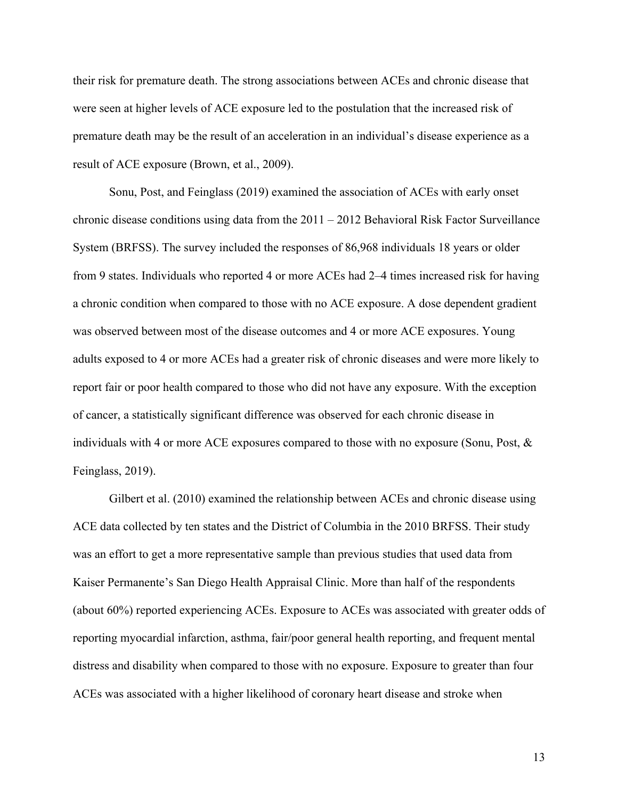their risk for premature death. The strong associations between ACEs and chronic disease that were seen at higher levels of ACE exposure led to the postulation that the increased risk of premature death may be the result of an acceleration in an individual's disease experience as a result of ACE exposure (Brown, et al., 2009).

Sonu, Post, and Feinglass (2019) examined the association of ACEs with early onset chronic disease conditions using data from the  $2011 - 2012$  Behavioral Risk Factor Surveillance System (BRFSS). The survey included the responses of 86,968 individuals 18 years or older from 9 states. Individuals who reported 4 or more ACEs had 2–4 times increased risk for having a chronic condition when compared to those with no ACE exposure. A dose dependent gradient was observed between most of the disease outcomes and 4 or more ACE exposures. Young adults exposed to 4 or more ACEs had a greater risk of chronic diseases and were more likely to report fair or poor health compared to those who did not have any exposure. With the exception of cancer, a statistically significant difference was observed for each chronic disease in individuals with 4 or more ACE exposures compared to those with no exposure (Sonu, Post, & Feinglass, 2019).

Gilbert et al. (2010) examined the relationship between ACEs and chronic disease using ACE data collected by ten states and the District of Columbia in the 2010 BRFSS. Their study was an effort to get a more representative sample than previous studies that used data from Kaiser Permanente's San Diego Health Appraisal Clinic. More than half of the respondents (about 60%) reported experiencing ACEs. Exposure to ACEs was associated with greater odds of reporting myocardial infarction, asthma, fair/poor general health reporting, and frequent mental distress and disability when compared to those with no exposure. Exposure to greater than four ACEs was associated with a higher likelihood of coronary heart disease and stroke when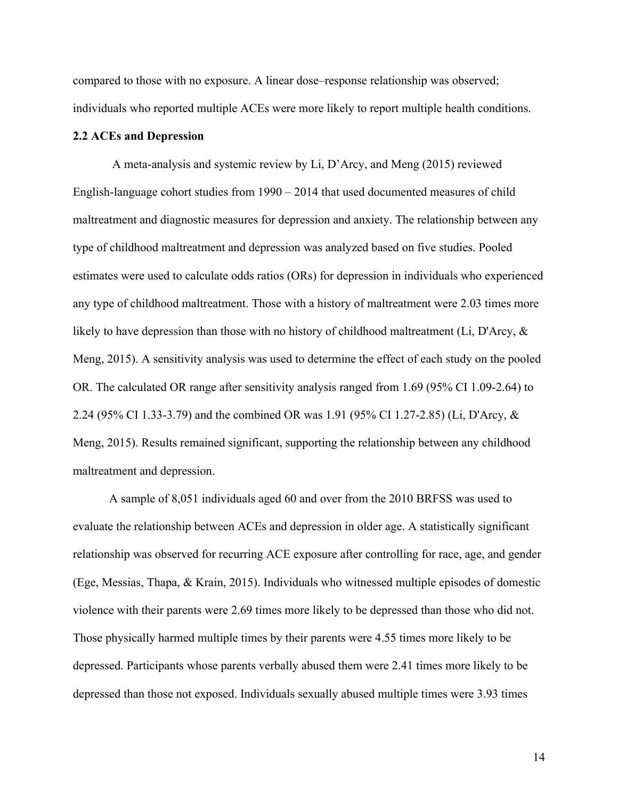compared to those with no exposure. A linear dose–response relationship was observed; individuals who reported multiple ACEs were more likely to report multiple health conditions.

# **2.2 ACEs and Depression**

A meta-analysis and systemic review by Li, D'Arcy, and Meng (2015) reviewed English-language cohort studies from 1990 – 2014 that used documented measures of child maltreatment and diagnostic measures for depression and anxiety. The relationship between any type of childhood maltreatment and depression was analyzed based on five studies. Pooled estimates were used to calculate odds ratios (ORs) for depression in individuals who experienced any type of childhood maltreatment. Those with a history of maltreatment were 2.03 times more likely to have depression than those with no history of childhood maltreatment (Li, D'Arcy, & Meng, 2015). A sensitivity analysis was used to determine the effect of each study on the pooled OR. The calculated OR range after sensitivity analysis ranged from 1.69 (95% CI 1.09-2.64) to 2.24 (95% CI 1.33-3.79) and the combined OR was 1.91 (95% CI 1.27-2.85) (Li, D'Arcy, & Meng, 2015). Results remained significant, supporting the relationship between any childhood maltreatment and depression.

A sample of 8,051 individuals aged 60 and over from the 2010 BRFSS was used to evaluate the relationship between ACEs and depression in older age. A statistically significant relationship was observed for recurring ACE exposure after controlling for race, age, and gender (Ege, Messias, Thapa, & Krain, 2015). Individuals who witnessed multiple episodes of domestic violence with their parents were 2.69 times more likely to be depressed than those who did not. Those physically harmed multiple times by their parents were 4.55 times more likely to be depressed. Participants whose parents verbally abused them were 2.41 times more likely to be depressed than those not exposed. Individuals sexually abused multiple times were 3.93 times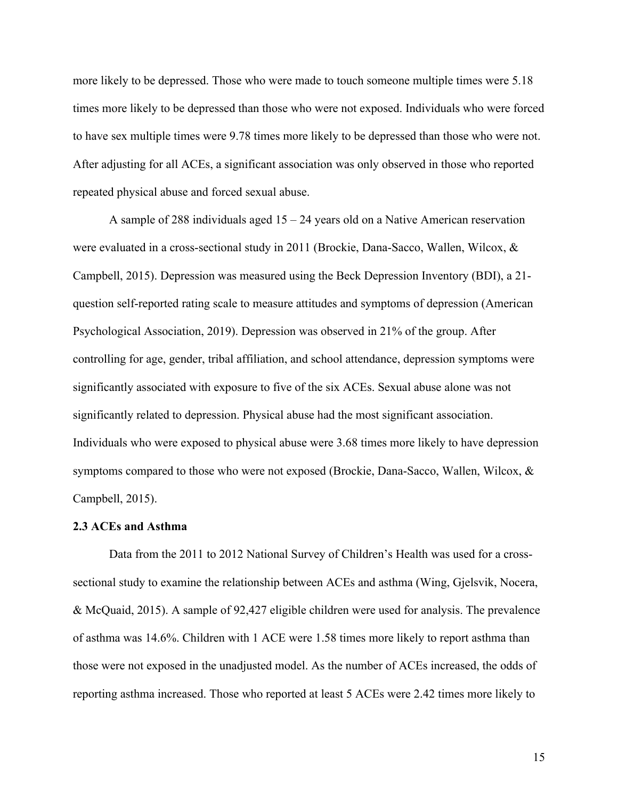more likely to be depressed. Those who were made to touch someone multiple times were 5.18 times more likely to be depressed than those who were not exposed. Individuals who were forced to have sex multiple times were 9.78 times more likely to be depressed than those who were not. After adjusting for all ACEs, a significant association was only observed in those who reported repeated physical abuse and forced sexual abuse.

A sample of 288 individuals aged 15 – 24 years old on a Native American reservation were evaluated in a cross-sectional study in 2011 (Brockie, Dana-Sacco, Wallen, Wilcox, & Campbell, 2015). Depression was measured using the Beck Depression Inventory (BDI), a 21 question self-reported rating scale to measure attitudes and symptoms of depression (American Psychological Association, 2019). Depression was observed in 21% of the group. After controlling for age, gender, tribal affiliation, and school attendance, depression symptoms were significantly associated with exposure to five of the six ACEs. Sexual abuse alone was not significantly related to depression. Physical abuse had the most significant association. Individuals who were exposed to physical abuse were 3.68 times more likely to have depression symptoms compared to those who were not exposed (Brockie, Dana-Sacco, Wallen, Wilcox, & Campbell, 2015).

#### **2.3 ACEs and Asthma**

Data from the 2011 to 2012 National Survey of Children's Health was used for a crosssectional study to examine the relationship between ACEs and asthma (Wing, Gjelsvik, Nocera, & McQuaid, 2015). A sample of 92,427 eligible children were used for analysis. The prevalence of asthma was 14.6%. Children with 1 ACE were 1.58 times more likely to report asthma than those were not exposed in the unadjusted model. As the number of ACEs increased, the odds of reporting asthma increased. Those who reported at least 5 ACEs were 2.42 times more likely to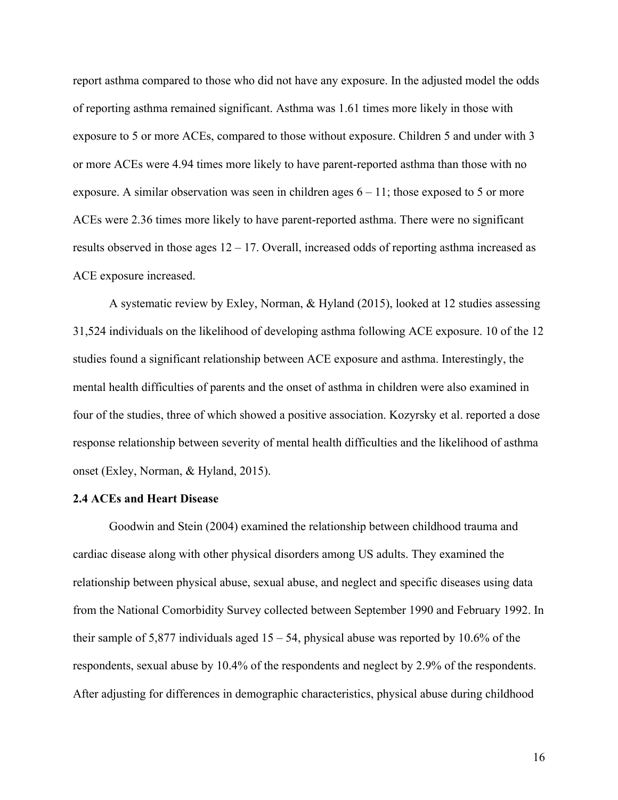report asthma compared to those who did not have any exposure. In the adjusted model the odds of reporting asthma remained significant. Asthma was 1.61 times more likely in those with exposure to 5 or more ACEs, compared to those without exposure. Children 5 and under with 3 or more ACEs were 4.94 times more likely to have parent-reported asthma than those with no exposure. A similar observation was seen in children ages  $6 - 11$ ; those exposed to 5 or more ACEs were 2.36 times more likely to have parent-reported asthma. There were no significant results observed in those ages 12 – 17. Overall, increased odds of reporting asthma increased as ACE exposure increased.

A systematic review by Exley, Norman, & Hyland (2015), looked at 12 studies assessing 31,524 individuals on the likelihood of developing asthma following ACE exposure. 10 of the 12 studies found a significant relationship between ACE exposure and asthma. Interestingly, the mental health difficulties of parents and the onset of asthma in children were also examined in four of the studies, three of which showed a positive association. Kozyrsky et al. reported a dose response relationship between severity of mental health difficulties and the likelihood of asthma onset (Exley, Norman, & Hyland, 2015).

# **2.4 ACEs and Heart Disease**

Goodwin and Stein (2004) examined the relationship between childhood trauma and cardiac disease along with other physical disorders among US adults. They examined the relationship between physical abuse, sexual abuse, and neglect and specific diseases using data from the National Comorbidity Survey collected between September 1990 and February 1992. In their sample of 5,877 individuals aged 15 – 54, physical abuse was reported by 10.6% of the respondents, sexual abuse by 10.4% of the respondents and neglect by 2.9% of the respondents. After adjusting for differences in demographic characteristics, physical abuse during childhood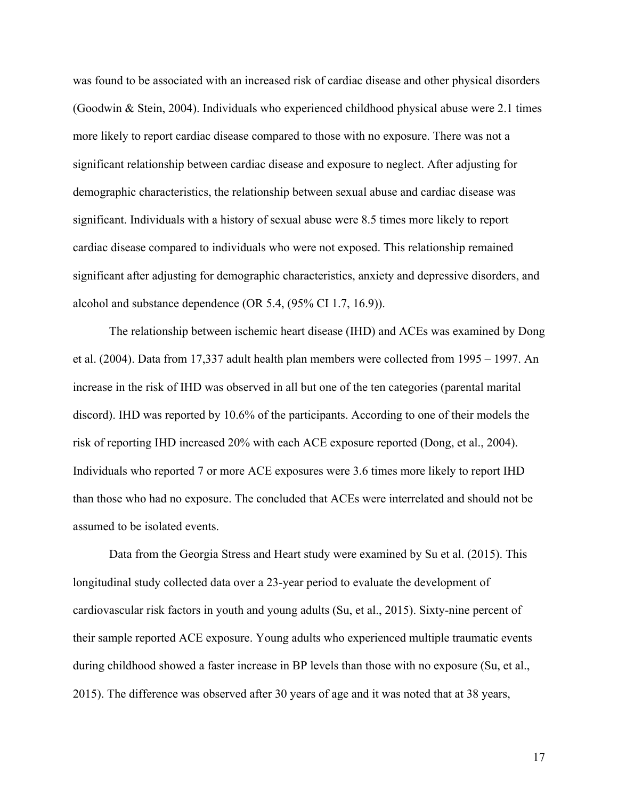was found to be associated with an increased risk of cardiac disease and other physical disorders (Goodwin & Stein, 2004). Individuals who experienced childhood physical abuse were 2.1 times more likely to report cardiac disease compared to those with no exposure. There was not a significant relationship between cardiac disease and exposure to neglect. After adjusting for demographic characteristics, the relationship between sexual abuse and cardiac disease was significant. Individuals with a history of sexual abuse were 8.5 times more likely to report cardiac disease compared to individuals who were not exposed. This relationship remained significant after adjusting for demographic characteristics, anxiety and depressive disorders, and alcohol and substance dependence (OR 5.4, (95% CI 1.7, 16.9)).

The relationship between ischemic heart disease (IHD) and ACEs was examined by Dong et al. (2004). Data from 17,337 adult health plan members were collected from 1995 – 1997. An increase in the risk of IHD was observed in all but one of the ten categories (parental marital discord). IHD was reported by 10.6% of the participants. According to one of their models the risk of reporting IHD increased 20% with each ACE exposure reported (Dong, et al., 2004). Individuals who reported 7 or more ACE exposures were 3.6 times more likely to report IHD than those who had no exposure. The concluded that ACEs were interrelated and should not be assumed to be isolated events.

Data from the Georgia Stress and Heart study were examined by Su et al. (2015). This longitudinal study collected data over a 23-year period to evaluate the development of cardiovascular risk factors in youth and young adults (Su, et al., 2015). Sixty-nine percent of their sample reported ACE exposure. Young adults who experienced multiple traumatic events during childhood showed a faster increase in BP levels than those with no exposure (Su, et al., 2015). The difference was observed after 30 years of age and it was noted that at 38 years,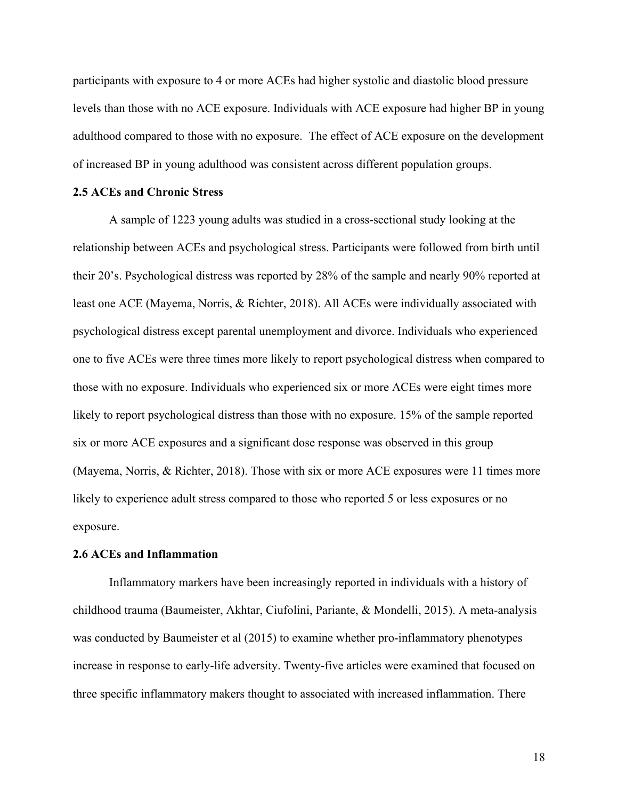participants with exposure to 4 or more ACEs had higher systolic and diastolic blood pressure levels than those with no ACE exposure. Individuals with ACE exposure had higher BP in young adulthood compared to those with no exposure. The effect of ACE exposure on the development of increased BP in young adulthood was consistent across different population groups.

# **2.5 ACEs and Chronic Stress**

A sample of 1223 young adults was studied in a cross-sectional study looking at the relationship between ACEs and psychological stress. Participants were followed from birth until their 20's. Psychological distress was reported by 28% of the sample and nearly 90% reported at least one ACE (Mayema, Norris, & Richter, 2018). All ACEs were individually associated with psychological distress except parental unemployment and divorce. Individuals who experienced one to five ACEs were three times more likely to report psychological distress when compared to those with no exposure. Individuals who experienced six or more ACEs were eight times more likely to report psychological distress than those with no exposure. 15% of the sample reported six or more ACE exposures and a significant dose response was observed in this group (Mayema, Norris, & Richter, 2018). Those with six or more ACE exposures were 11 times more likely to experience adult stress compared to those who reported 5 or less exposures or no exposure.

#### **2.6 ACEs and Inflammation**

Inflammatory markers have been increasingly reported in individuals with a history of childhood trauma (Baumeister, Akhtar, Ciufolini, Pariante, & Mondelli, 2015). A meta-analysis was conducted by Baumeister et al (2015) to examine whether pro-inflammatory phenotypes increase in response to early-life adversity. Twenty-five articles were examined that focused on three specific inflammatory makers thought to associated with increased inflammation. There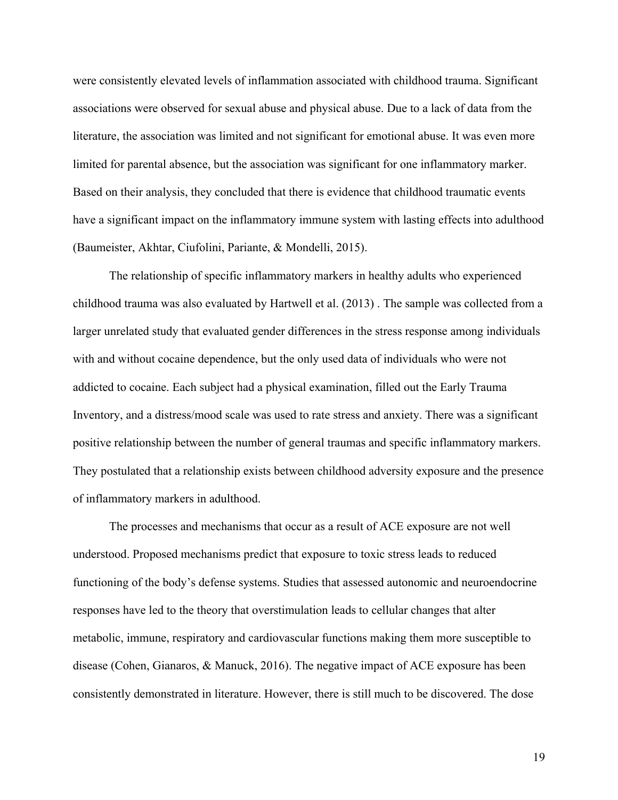were consistently elevated levels of inflammation associated with childhood trauma. Significant associations were observed for sexual abuse and physical abuse. Due to a lack of data from the literature, the association was limited and not significant for emotional abuse. It was even more limited for parental absence, but the association was significant for one inflammatory marker. Based on their analysis, they concluded that there is evidence that childhood traumatic events have a significant impact on the inflammatory immune system with lasting effects into adulthood (Baumeister, Akhtar, Ciufolini, Pariante, & Mondelli, 2015).

The relationship of specific inflammatory markers in healthy adults who experienced childhood trauma was also evaluated by Hartwell et al. (2013) . The sample was collected from a larger unrelated study that evaluated gender differences in the stress response among individuals with and without cocaine dependence, but the only used data of individuals who were not addicted to cocaine. Each subject had a physical examination, filled out the Early Trauma Inventory, and a distress/mood scale was used to rate stress and anxiety. There was a significant positive relationship between the number of general traumas and specific inflammatory markers. They postulated that a relationship exists between childhood adversity exposure and the presence of inflammatory markers in adulthood.

The processes and mechanisms that occur as a result of ACE exposure are not well understood. Proposed mechanisms predict that exposure to toxic stress leads to reduced functioning of the body's defense systems. Studies that assessed autonomic and neuroendocrine responses have led to the theory that overstimulation leads to cellular changes that alter metabolic, immune, respiratory and cardiovascular functions making them more susceptible to disease (Cohen, Gianaros, & Manuck, 2016). The negative impact of ACE exposure has been consistently demonstrated in literature. However, there is still much to be discovered. The dose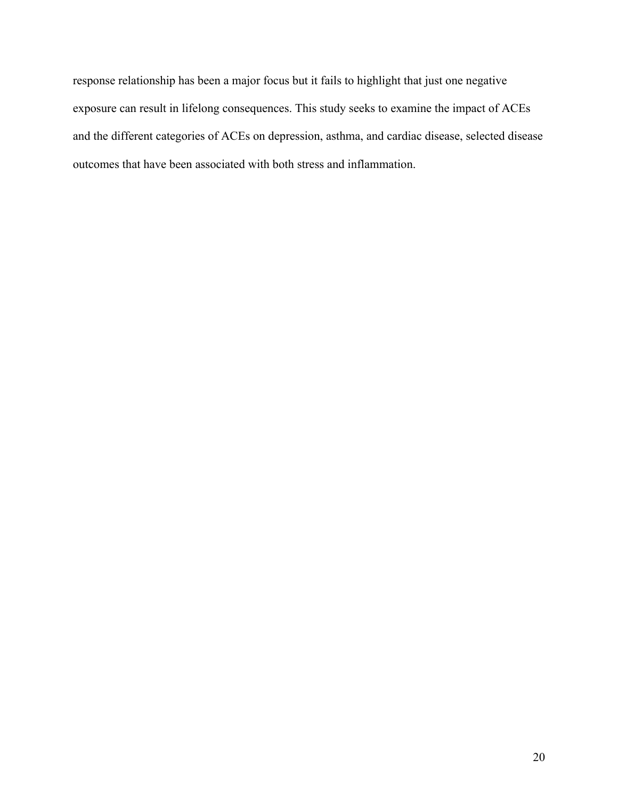response relationship has been a major focus but it fails to highlight that just one negative exposure can result in lifelong consequences. This study seeks to examine the impact of ACEs and the different categories of ACEs on depression, asthma, and cardiac disease, selected disease outcomes that have been associated with both stress and inflammation.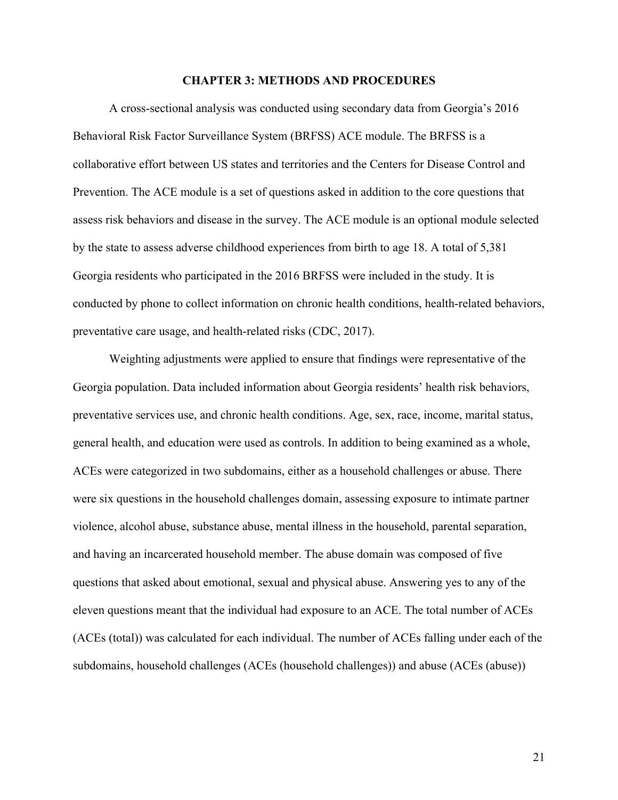#### **CHAPTER 3: METHODS AND PROCEDURES**

A cross-sectional analysis was conducted using secondary data from Georgia's 2016 Behavioral Risk Factor Surveillance System (BRFSS) ACE module. The BRFSS is a collaborative effort between US states and territories and the Centers for Disease Control and Prevention. The ACE module is a set of questions asked in addition to the core questions that assess risk behaviors and disease in the survey. The ACE module is an optional module selected by the state to assess adverse childhood experiences from birth to age 18. A total of 5,381 Georgia residents who participated in the 2016 BRFSS were included in the study. It is conducted by phone to collect information on chronic health conditions, health-related behaviors, preventative care usage, and health-related risks (CDC, 2017).

Weighting adjustments were applied to ensure that findings were representative of the Georgia population. Data included information about Georgia residents' health risk behaviors, preventative services use, and chronic health conditions. Age, sex, race, income, marital status, general health, and education were used as controls. In addition to being examined as a whole, ACEs were categorized in two subdomains, either as a household challenges or abuse. There were six questions in the household challenges domain, assessing exposure to intimate partner violence, alcohol abuse, substance abuse, mental illness in the household, parental separation, and having an incarcerated household member. The abuse domain was composed of five questions that asked about emotional, sexual and physical abuse. Answering yes to any of the eleven questions meant that the individual had exposure to an ACE. The total number of ACEs (ACEs (total)) was calculated for each individual. The number of ACEs falling under each of the subdomains, household challenges (ACEs (household challenges)) and abuse (ACEs (abuse))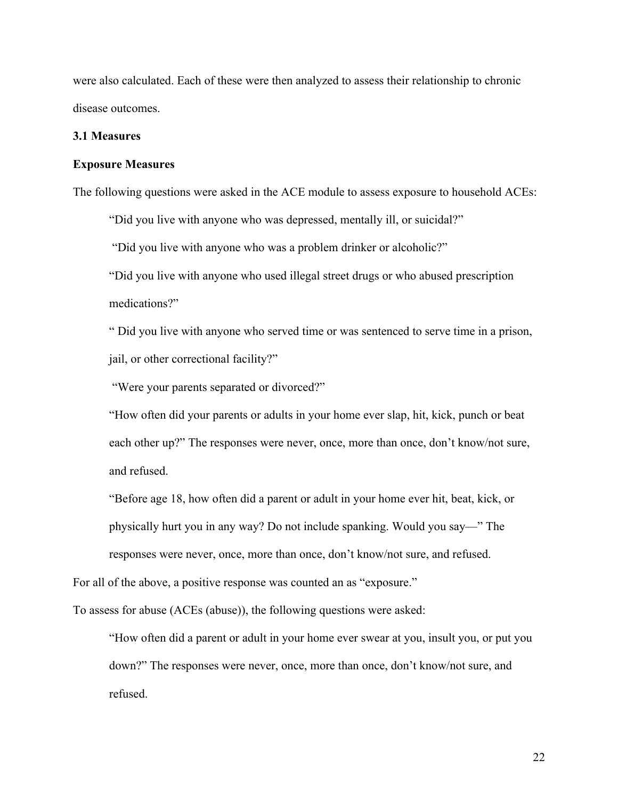were also calculated. Each of these were then analyzed to assess their relationship to chronic disease outcomes.

#### **3.1 Measures**

#### **Exposure Measures**

The following questions were asked in the ACE module to assess exposure to household ACEs:

"Did you live with anyone who was depressed, mentally ill, or suicidal?"

"Did you live with anyone who was a problem drinker or alcoholic?"

"Did you live with anyone who used illegal street drugs or who abused prescription medications?"

" Did you live with anyone who served time or was sentenced to serve time in a prison, jail, or other correctional facility?"

"Were your parents separated or divorced?"

"How often did your parents or adults in your home ever slap, hit, kick, punch or beat each other up?" The responses were never, once, more than once, don't know/not sure, and refused.

"Before age 18, how often did a parent or adult in your home ever hit, beat, kick, or physically hurt you in any way? Do not include spanking. Would you say—" The responses were never, once, more than once, don't know/not sure, and refused.

For all of the above, a positive response was counted an as "exposure."

To assess for abuse (ACEs (abuse)), the following questions were asked:

"How often did a parent or adult in your home ever swear at you, insult you, or put you down?" The responses were never, once, more than once, don't know/not sure, and refused.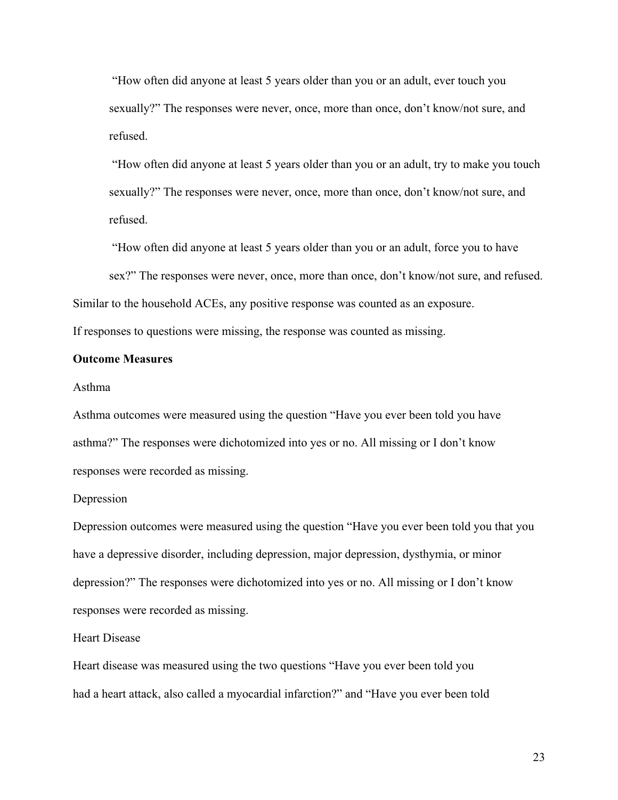"How often did anyone at least 5 years older than you or an adult, ever touch you sexually?" The responses were never, once, more than once, don't know/not sure, and refused.

"How often did anyone at least 5 years older than you or an adult, try to make you touch sexually?" The responses were never, once, more than once, don't know/not sure, and refused.

"How often did anyone at least 5 years older than you or an adult, force you to have sex?" The responses were never, once, more than once, don't know/not sure, and refused.

Similar to the household ACEs, any positive response was counted as an exposure.

If responses to questions were missing, the response was counted as missing.

# **Outcome Measures**

#### Asthma

Asthma outcomes were measured using the question "Have you ever been told you have asthma?" The responses were dichotomized into yes or no. All missing or I don't know responses were recorded as missing.

#### Depression

Depression outcomes were measured using the question "Have you ever been told you that you have a depressive disorder, including depression, major depression, dysthymia, or minor depression?" The responses were dichotomized into yes or no. All missing or I don't know responses were recorded as missing.

#### Heart Disease

Heart disease was measured using the two questions "Have you ever been told you had a heart attack, also called a myocardial infarction?" and "Have you ever been told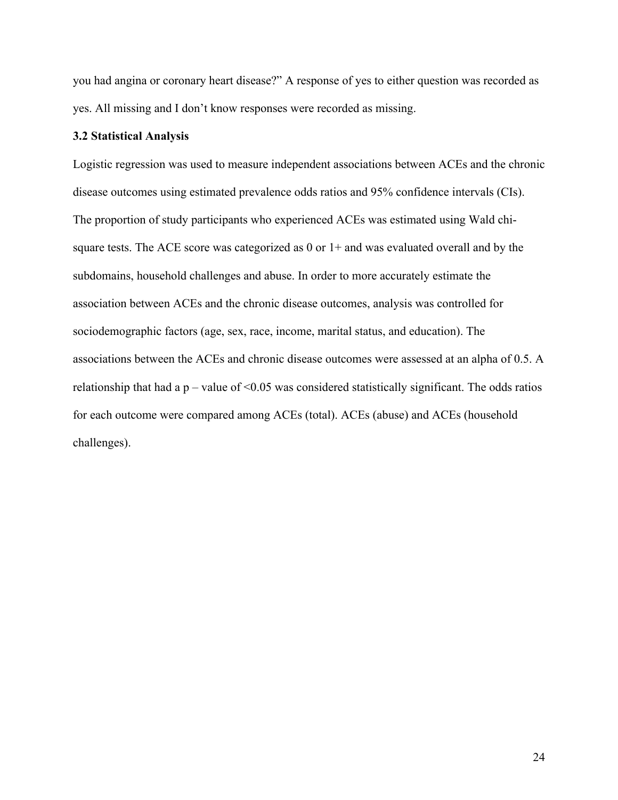you had angina or coronary heart disease?" A response of yes to either question was recorded as yes. All missing and I don't know responses were recorded as missing.

# **3.2 Statistical Analysis**

Logistic regression was used to measure independent associations between ACEs and the chronic disease outcomes using estimated prevalence odds ratios and 95% confidence intervals (CIs). The proportion of study participants who experienced ACEs was estimated using Wald chisquare tests. The ACE score was categorized as 0 or 1+ and was evaluated overall and by the subdomains, household challenges and abuse. In order to more accurately estimate the association between ACEs and the chronic disease outcomes, analysis was controlled for sociodemographic factors (age, sex, race, income, marital status, and education). The associations between the ACEs and chronic disease outcomes were assessed at an alpha of 0.5. A relationship that had a  $p$  – value of <0.05 was considered statistically significant. The odds ratios for each outcome were compared among ACEs (total). ACEs (abuse) and ACEs (household challenges).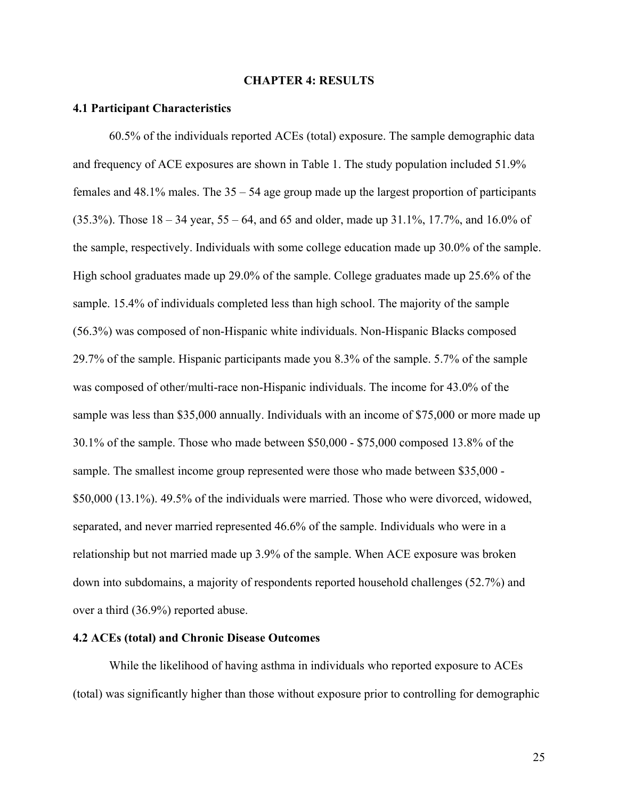# **CHAPTER 4: RESULTS**

#### **4.1 Participant Characteristics**

60.5% of the individuals reported ACEs (total) exposure. The sample demographic data and frequency of ACE exposures are shown in Table 1. The study population included 51.9% females and  $48.1\%$  males. The  $35 - 54$  age group made up the largest proportion of participants (35.3%). Those 18 – 34 year, 55 – 64, and 65 and older, made up 31.1%, 17.7%, and 16.0% of the sample, respectively. Individuals with some college education made up 30.0% of the sample. High school graduates made up 29.0% of the sample. College graduates made up 25.6% of the sample. 15.4% of individuals completed less than high school. The majority of the sample (56.3%) was composed of non-Hispanic white individuals. Non-Hispanic Blacks composed 29.7% of the sample. Hispanic participants made you 8.3% of the sample. 5.7% of the sample was composed of other/multi-race non-Hispanic individuals. The income for 43.0% of the sample was less than \$35,000 annually. Individuals with an income of \$75,000 or more made up 30.1% of the sample. Those who made between \$50,000 - \$75,000 composed 13.8% of the sample. The smallest income group represented were those who made between \$35,000 - \$50,000 (13.1%). 49.5% of the individuals were married. Those who were divorced, widowed, separated, and never married represented 46.6% of the sample. Individuals who were in a relationship but not married made up 3.9% of the sample. When ACE exposure was broken down into subdomains, a majority of respondents reported household challenges (52.7%) and over a third (36.9%) reported abuse.

# **4.2 ACEs (total) and Chronic Disease Outcomes**

While the likelihood of having asthma in individuals who reported exposure to ACEs (total) was significantly higher than those without exposure prior to controlling for demographic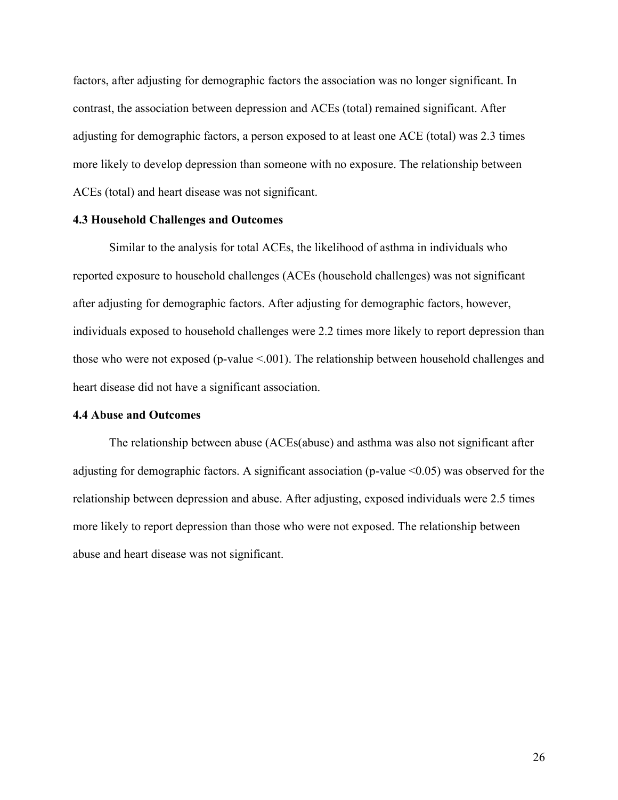factors, after adjusting for demographic factors the association was no longer significant. In contrast, the association between depression and ACEs (total) remained significant. After adjusting for demographic factors, a person exposed to at least one ACE (total) was 2.3 times more likely to develop depression than someone with no exposure. The relationship between ACEs (total) and heart disease was not significant.

# **4.3 Household Challenges and Outcomes**

Similar to the analysis for total ACEs, the likelihood of asthma in individuals who reported exposure to household challenges (ACEs (household challenges) was not significant after adjusting for demographic factors. After adjusting for demographic factors, however, individuals exposed to household challenges were 2.2 times more likely to report depression than those who were not exposed (p-value  $\leq 0.001$ ). The relationship between household challenges and heart disease did not have a significant association.

# **4.4 Abuse and Outcomes**

The relationship between abuse (ACEs(abuse) and asthma was also not significant after adjusting for demographic factors. A significant association (p-value <0.05) was observed for the relationship between depression and abuse. After adjusting, exposed individuals were 2.5 times more likely to report depression than those who were not exposed. The relationship between abuse and heart disease was not significant.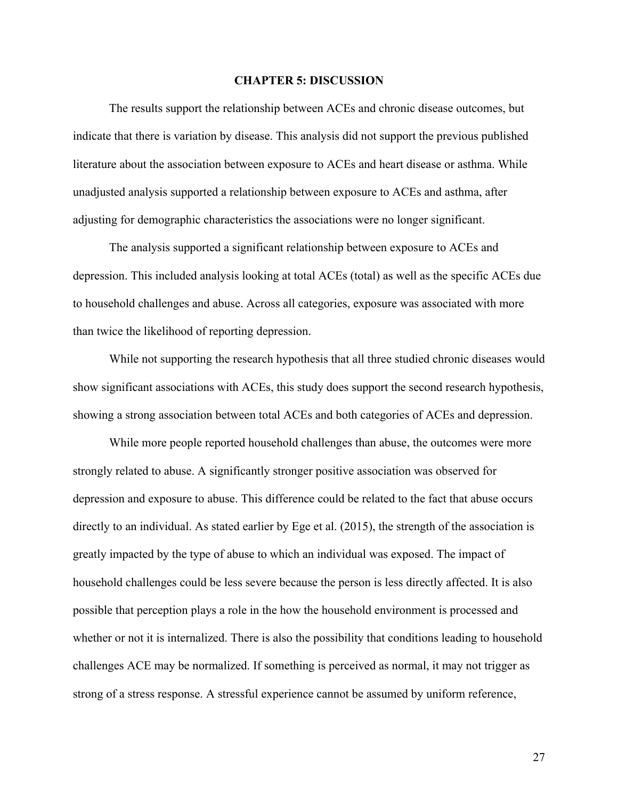#### **CHAPTER 5: DISCUSSION**

The results support the relationship between ACEs and chronic disease outcomes, but indicate that there is variation by disease. This analysis did not support the previous published literature about the association between exposure to ACEs and heart disease or asthma. While unadjusted analysis supported a relationship between exposure to ACEs and asthma, after adjusting for demographic characteristics the associations were no longer significant.

The analysis supported a significant relationship between exposure to ACEs and depression. This included analysis looking at total ACEs (total) as well as the specific ACEs due to household challenges and abuse. Across all categories, exposure was associated with more than twice the likelihood of reporting depression.

While not supporting the research hypothesis that all three studied chronic diseases would show significant associations with ACEs, this study does support the second research hypothesis, showing a strong association between total ACEs and both categories of ACEs and depression.

While more people reported household challenges than abuse, the outcomes were more strongly related to abuse. A significantly stronger positive association was observed for depression and exposure to abuse. This difference could be related to the fact that abuse occurs directly to an individual. As stated earlier by Ege et al. (2015), the strength of the association is greatly impacted by the type of abuse to which an individual was exposed. The impact of household challenges could be less severe because the person is less directly affected. It is also possible that perception plays a role in the how the household environment is processed and whether or not it is internalized. There is also the possibility that conditions leading to household challenges ACE may be normalized. If something is perceived as normal, it may not trigger as strong of a stress response. A stressful experience cannot be assumed by uniform reference,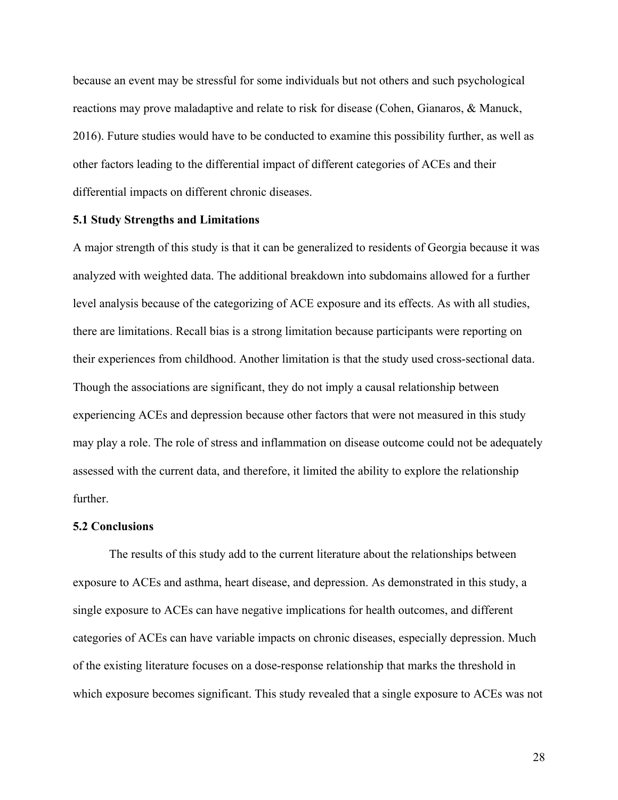because an event may be stressful for some individuals but not others and such psychological reactions may prove maladaptive and relate to risk for disease (Cohen, Gianaros, & Manuck, 2016). Future studies would have to be conducted to examine this possibility further, as well as other factors leading to the differential impact of different categories of ACEs and their differential impacts on different chronic diseases.

# **5.1 Study Strengths and Limitations**

A major strength of this study is that it can be generalized to residents of Georgia because it was analyzed with weighted data. The additional breakdown into subdomains allowed for a further level analysis because of the categorizing of ACE exposure and its effects. As with all studies, there are limitations. Recall bias is a strong limitation because participants were reporting on their experiences from childhood. Another limitation is that the study used cross-sectional data. Though the associations are significant, they do not imply a causal relationship between experiencing ACEs and depression because other factors that were not measured in this study may play a role. The role of stress and inflammation on disease outcome could not be adequately assessed with the current data, and therefore, it limited the ability to explore the relationship further.

# **5.2 Conclusions**

The results of this study add to the current literature about the relationships between exposure to ACEs and asthma, heart disease, and depression. As demonstrated in this study, a single exposure to ACEs can have negative implications for health outcomes, and different categories of ACEs can have variable impacts on chronic diseases, especially depression. Much of the existing literature focuses on a dose-response relationship that marks the threshold in which exposure becomes significant. This study revealed that a single exposure to ACEs was not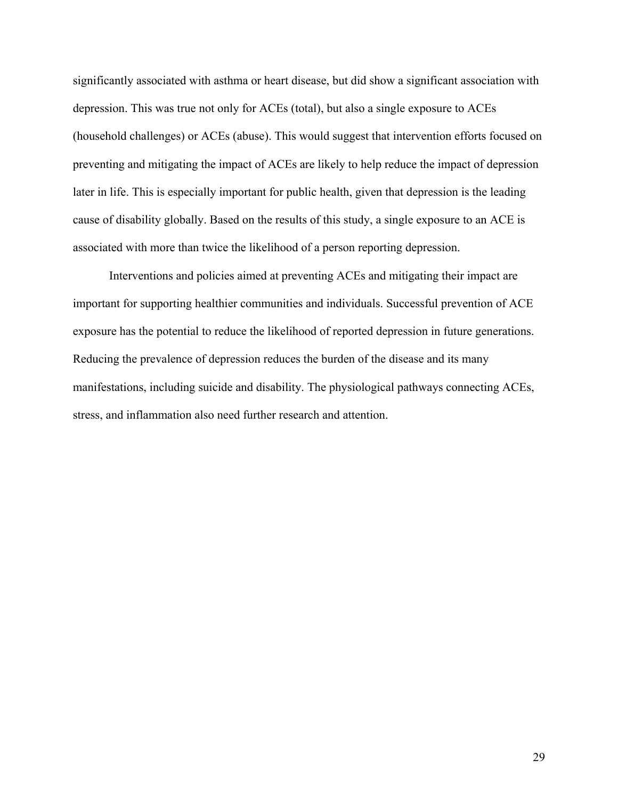significantly associated with asthma or heart disease, but did show a significant association with depression. This was true not only for ACEs (total), but also a single exposure to ACEs (household challenges) or ACEs (abuse). This would suggest that intervention efforts focused on preventing and mitigating the impact of ACEs are likely to help reduce the impact of depression later in life. This is especially important for public health, given that depression is the leading cause of disability globally. Based on the results of this study, a single exposure to an ACE is associated with more than twice the likelihood of a person reporting depression.

Interventions and policies aimed at preventing ACEs and mitigating their impact are important for supporting healthier communities and individuals. Successful prevention of ACE exposure has the potential to reduce the likelihood of reported depression in future generations. Reducing the prevalence of depression reduces the burden of the disease and its many manifestations, including suicide and disability. The physiological pathways connecting ACEs, stress, and inflammation also need further research and attention.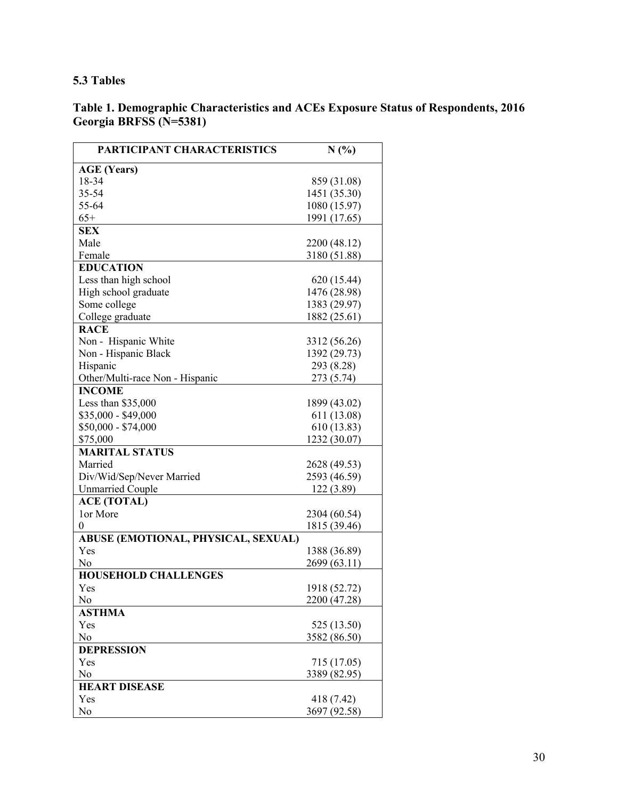# **5.3 Tables**

# **Table 1. Demographic Characteristics and ACEs Exposure Status of Respondents, 2016 Georgia BRFSS (N=5381)**

| PARTICIPANT CHARACTERISTICS         | $N(\%)$      |
|-------------------------------------|--------------|
| <b>AGE (Years)</b>                  |              |
| 18-34                               | 859 (31.08)  |
| 35-54                               | 1451 (35.30) |
| 55-64                               | 1080 (15.97) |
| $65+$                               | 1991 (17.65) |
| <b>SEX</b>                          |              |
| Male                                | 2200 (48.12) |
| Female                              | 3180 (51.88) |
| <b>EDUCATION</b>                    |              |
| Less than high school               | 620 (15.44)  |
| High school graduate                | 1476 (28.98) |
| Some college                        | 1383 (29.97) |
| College graduate                    | 1882 (25.61) |
| <b>RACE</b>                         |              |
| Non - Hispanic White                | 3312 (56.26) |
| Non - Hispanic Black                | 1392 (29.73) |
| Hispanic                            | 293 (8.28)   |
| Other/Multi-race Non - Hispanic     | 273 (5.74)   |
| <b>INCOME</b>                       |              |
| Less than \$35,000                  | 1899 (43.02) |
| \$35,000 - \$49,000                 | 611 (13.08)  |
| $$50,000 - $74,000$                 | 610 (13.83)  |
| \$75,000                            | 1232 (30.07) |
| <b>MARITAL STATUS</b>               |              |
| Married                             | 2628 (49.53) |
| Div/Wid/Sep/Never Married           | 2593 (46.59) |
| <b>Unmarried Couple</b>             | 122 (3.89)   |
| <b>ACE (TOTAL)</b>                  |              |
| 1 or More                           | 2304 (60.54) |
| 0                                   | 1815 (39.46) |
| ABUSE (EMOTIONAL, PHYSICAL, SEXUAL) |              |
| Yes                                 | 1388 (36.89) |
| No                                  | 2699 (63.11) |
| <b>HOUSEHOLD CHALLENGES</b>         |              |
| Yes                                 | 1918 (52.72) |
| No                                  | 2200 (47.28) |
| <b>ASTHMA</b>                       |              |
| Yes                                 | 525 (13.50)  |
| No                                  | 3582 (86.50) |
| <b>DEPRESSION</b>                   |              |
| Yes                                 | 715 (17.05)  |
| No                                  | 3389 (82.95) |
| <b>HEART DISEASE</b>                |              |
| Yes                                 | 418 (7.42)   |
| No                                  | 3697 (92.58) |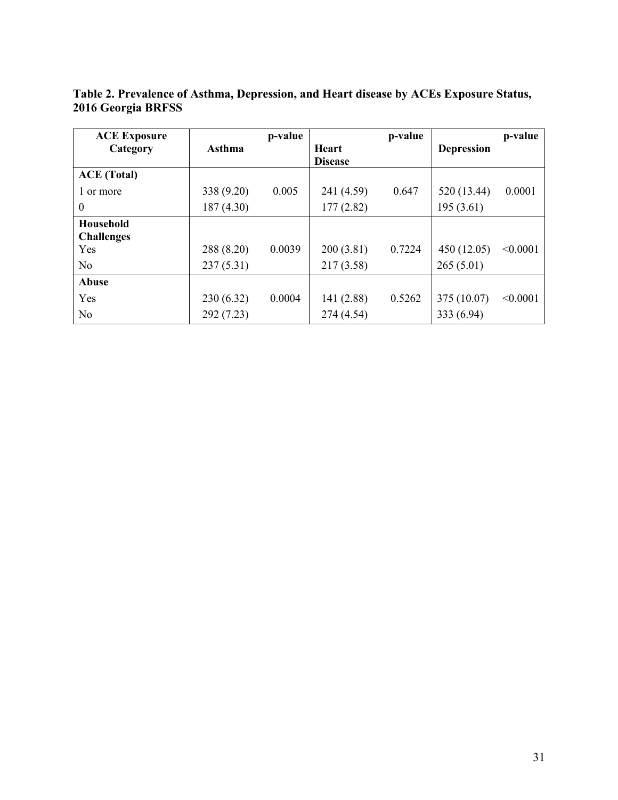| <b>ACE Exposure</b> |            | p-value |                | p-value |                   | p-value  |
|---------------------|------------|---------|----------------|---------|-------------------|----------|
| Category            | Asthma     |         | <b>Heart</b>   |         | <b>Depression</b> |          |
|                     |            |         | <b>Disease</b> |         |                   |          |
| <b>ACE</b> (Total)  |            |         |                |         |                   |          |
| 1 or more           | 338 (9.20) | 0.005   | 241 (4.59)     | 0.647   | 520 (13.44)       | 0.0001   |
| $\theta$            | 187(4.30)  |         | 177(2.82)      |         | 195(3.61)         |          |
| Household           |            |         |                |         |                   |          |
| <b>Challenges</b>   |            |         |                |         |                   |          |
| Yes                 | 288 (8.20) | 0.0039  | 200(3.81)      | 0.7224  | 450 (12.05)       | < 0.0001 |
| N <sub>o</sub>      | 237(5.31)  |         | 217(3.58)      |         | 265(5.01)         |          |
| Abuse               |            |         |                |         |                   |          |
| Yes                 | 230(6.32)  | 0.0004  | 141 (2.88)     | 0.5262  | 375 (10.07)       | < 0.0001 |
| N <sub>o</sub>      | 292 (7.23) |         | 274 (4.54)     |         | 333 (6.94)        |          |

**Table 2. Prevalence of Asthma, Depression, and Heart disease by ACEs Exposure Status, 2016 Georgia BRFSS**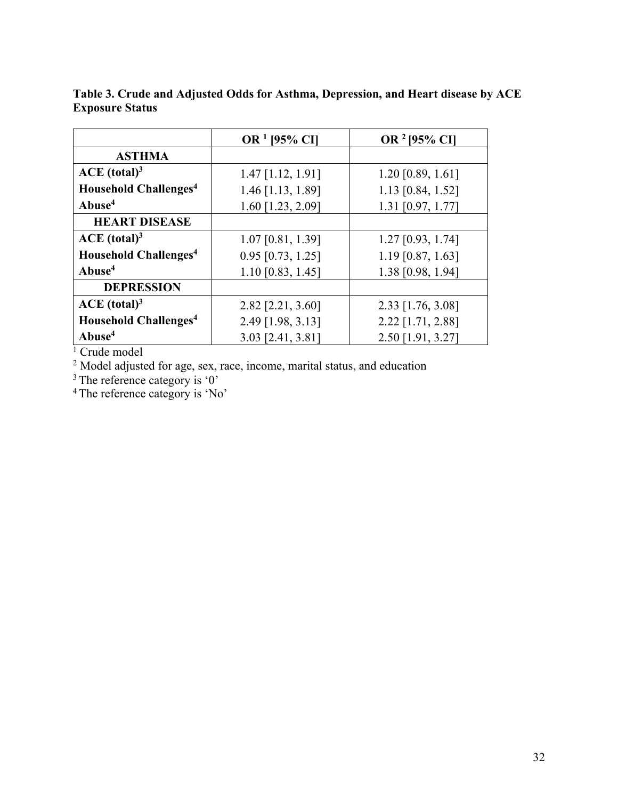|                                         | OR <sup>1</sup> [95% CI] | OR <sup>2</sup> [95% CI] |
|-----------------------------------------|--------------------------|--------------------------|
| <b>ASTHMA</b>                           |                          |                          |
| ACE (total) <sup>3</sup>                | $1.47$ [1.12, 1.91]      | $1.20$ [0.89, 1.61]      |
| <b>Household Challenges<sup>4</sup></b> | 1.46 [1.13, 1.89]        | 1.13 [0.84, 1.52]        |
| Abuse <sup>4</sup>                      | 1.60 [1.23, 2.09]        | 1.31 [0.97, 1.77]        |
| <b>HEART DISEASE</b>                    |                          |                          |
| ACE (total) <sup>3</sup>                | 1.07 [0.81, 1.39]        | $1.27$ [0.93, 1.74]      |
| <b>Household Challenges<sup>4</sup></b> | $0.95$ [0.73, 1.25]      | $1.19$ [0.87, 1.63]      |
| Abuse <sup>4</sup>                      | $1.10$ [0.83, 1.45]      | 1.38 [0.98, 1.94]        |
| <b>DEPRESSION</b>                       |                          |                          |
| ACE (total) <sup>3</sup>                | 2.82 [2.21, 3.60]        | 2.33 [1.76, 3.08]        |
| <b>Household Challenges<sup>4</sup></b> | 2.49 [1.98, 3.13]        | 2.22 [1.71, 2.88]        |
| Abuse <sup>4</sup>                      | 3.03 [2.41, 3.81]        | 2.50 [1.91, 3.27]        |

**Table 3. Crude and Adjusted Odds for Asthma, Depression, and Heart disease by ACE Exposure Status**

<sup>1</sup> Crude model

 $2$  Model adjusted for age, sex, race, income, marital status, and education

 $3$  The reference category is '0'

<sup>4</sup> The reference category is 'No'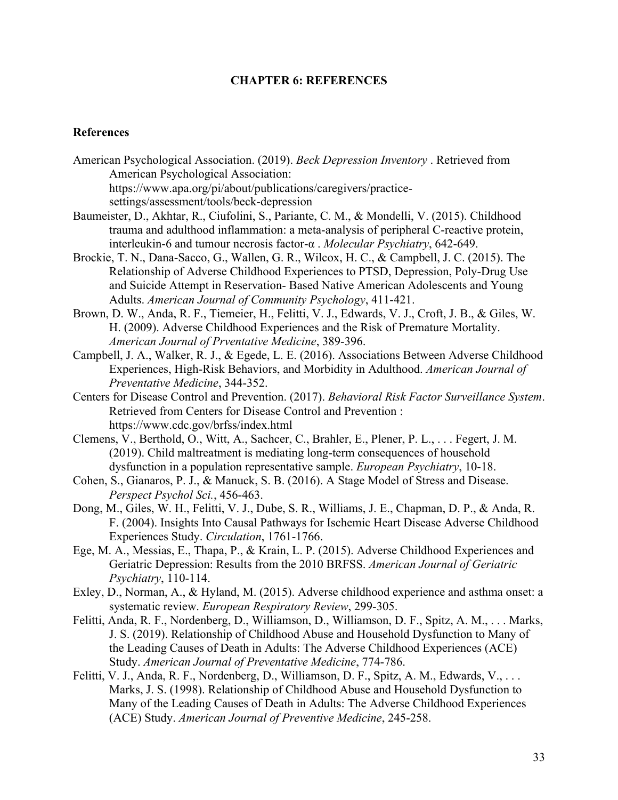# **CHAPTER 6: REFERENCES**

# **References**

- American Psychological Association. (2019). *Beck Depression Inventory* . Retrieved from American Psychological Association: https://www.apa.org/pi/about/publications/caregivers/practicesettings/assessment/tools/beck-depression
- Baumeister, D., Akhtar, R., Ciufolini, S., Pariante, C. M., & Mondelli, V. (2015). Childhood trauma and adulthood inflammation: a meta-analysis of peripheral C-reactive protein, interleukin-6 and tumour necrosis factor-α . *Molecular Psychiatry*, 642-649.
- Brockie, T. N., Dana-Sacco, G., Wallen, G. R., Wilcox, H. C., & Campbell, J. C. (2015). The Relationship of Adverse Childhood Experiences to PTSD, Depression, Poly-Drug Use and Suicide Attempt in Reservation- Based Native American Adolescents and Young Adults. *American Journal of Community Psychology*, 411-421.
- Brown, D. W., Anda, R. F., Tiemeier, H., Felitti, V. J., Edwards, V. J., Croft, J. B., & Giles, W. H. (2009). Adverse Childhood Experiences and the Risk of Premature Mortality. *American Journal of Prventative Medicine*, 389-396.
- Campbell, J. A., Walker, R. J., & Egede, L. E. (2016). Associations Between Adverse Childhood Experiences, High-Risk Behaviors, and Morbidity in Adulthood. *American Journal of Preventative Medicine*, 344-352.
- Centers for Disease Control and Prevention. (2017). *Behavioral Risk Factor Surveillance System*. Retrieved from Centers for Disease Control and Prevention : https://www.cdc.gov/brfss/index.html
- Clemens, V., Berthold, O., Witt, A., Sachcer, C., Brahler, E., Plener, P. L., . . . Fegert, J. M. (2019). Child maltreatment is mediating long-term consequences of household dysfunction in a population representative sample. *European Psychiatry*, 10-18.
- Cohen, S., Gianaros, P. J., & Manuck, S. B. (2016). A Stage Model of Stress and Disease. *Perspect Psychol Sci.*, 456-463.
- Dong, M., Giles, W. H., Felitti, V. J., Dube, S. R., Williams, J. E., Chapman, D. P., & Anda, R. F. (2004). Insights Into Causal Pathways for Ischemic Heart Disease Adverse Childhood Experiences Study. *Circulation*, 1761-1766.
- Ege, M. A., Messias, E., Thapa, P., & Krain, L. P. (2015). Adverse Childhood Experiences and Geriatric Depression: Results from the 2010 BRFSS. *American Journal of Geriatric Psychiatry*, 110-114.
- Exley, D., Norman, A., & Hyland, M. (2015). Adverse childhood experience and asthma onset: a systematic review. *European Respiratory Review*, 299-305.
- Felitti, Anda, R. F., Nordenberg, D., Williamson, D., Williamson, D. F., Spitz, A. M., . . . Marks, J. S. (2019). Relationship of Childhood Abuse and Household Dysfunction to Many of the Leading Causes of Death in Adults: The Adverse Childhood Experiences (ACE) Study. *American Journal of Preventative Medicine*, 774-786.
- Felitti, V. J., Anda, R. F., Nordenberg, D., Williamson, D. F., Spitz, A. M., Edwards, V., . . . Marks, J. S. (1998). Relationship of Childhood Abuse and Household Dysfunction to Many of the Leading Causes of Death in Adults: The Adverse Childhood Experiences (ACE) Study. *American Journal of Preventive Medicine*, 245-258.